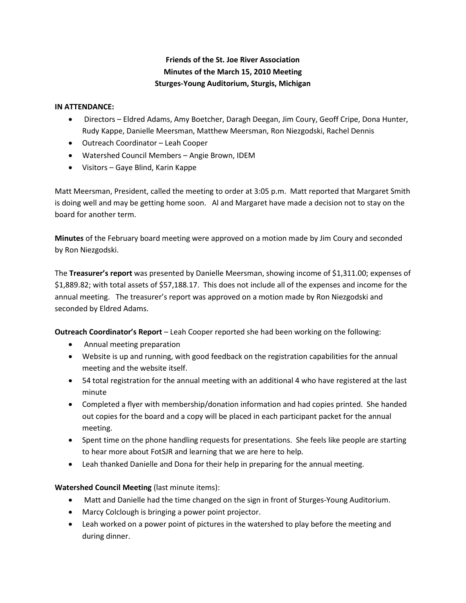## **Friends of the St. Joe River Association Minutes of the March 15, 2010 Meeting Sturges-Young Auditorium, Sturgis, Michigan**

## **IN ATTENDANCE:**

- Directors Eldred Adams, Amy Boetcher, Daragh Deegan, Jim Coury, Geoff Cripe, Dona Hunter, Rudy Kappe, Danielle Meersman, Matthew Meersman, Ron Niezgodski, Rachel Dennis
- Outreach Coordinator Leah Cooper
- Watershed Council Members Angie Brown, IDEM
- Visitors Gaye Blind, Karin Kappe

Matt Meersman, President, called the meeting to order at 3:05 p.m. Matt reported that Margaret Smith is doing well and may be getting home soon. Al and Margaret have made a decision not to stay on the board for another term.

**Minutes** of the February board meeting were approved on a motion made by Jim Coury and seconded by Ron Niezgodski.

The **Treasurer's report** was presented by Danielle Meersman, showing income of \$1,311.00; expenses of \$1,889.82; with total assets of \$57,188.17. This does not include all of the expenses and income for the annual meeting. The treasurer's report was approved on a motion made by Ron Niezgodski and seconded by Eldred Adams.

**Outreach Coordinator's Report** – Leah Cooper reported she had been working on the following:

- Annual meeting preparation
- Website is up and running, with good feedback on the registration capabilities for the annual meeting and the website itself.
- 54 total registration for the annual meeting with an additional 4 who have registered at the last minute
- Completed a flyer with membership/donation information and had copies printed. She handed out copies for the board and a copy will be placed in each participant packet for the annual meeting.
- Spent time on the phone handling requests for presentations. She feels like people are starting to hear more about FotSJR and learning that we are here to help.
- Leah thanked Danielle and Dona for their help in preparing for the annual meeting.

## **Watershed Council Meeting** (last minute items):

- Matt and Danielle had the time changed on the sign in front of Sturges-Young Auditorium.
- Marcy Colclough is bringing a power point projector.
- Leah worked on a power point of pictures in the watershed to play before the meeting and during dinner.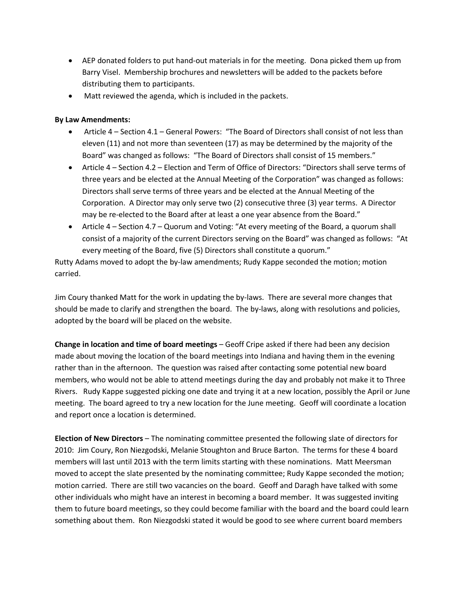- AEP donated folders to put hand-out materials in for the meeting. Dona picked them up from Barry Visel. Membership brochures and newsletters will be added to the packets before distributing them to participants.
- Matt reviewed the agenda, which is included in the packets.

## **By Law Amendments:**

- Article 4 Section 4.1 General Powers: "The Board of Directors shall consist of not less than eleven (11) and not more than seventeen (17) as may be determined by the majority of the Board" was changed as follows: "The Board of Directors shall consist of 15 members."
- Article 4 Section 4.2 Election and Term of Office of Directors: "Directors shall serve terms of three years and be elected at the Annual Meeting of the Corporation" was changed as follows: Directors shall serve terms of three years and be elected at the Annual Meeting of the Corporation. A Director may only serve two (2) consecutive three (3) year terms. A Director may be re-elected to the Board after at least a one year absence from the Board."
- Article 4 Section 4.7 Quorum and Voting: "At every meeting of the Board, a quorum shall consist of a majority of the current Directors serving on the Board" was changed as follows: "At every meeting of the Board, five (5) Directors shall constitute a quorum."

Rutty Adams moved to adopt the by-law amendments; Rudy Kappe seconded the motion; motion carried.

Jim Coury thanked Matt for the work in updating the by-laws. There are several more changes that should be made to clarify and strengthen the board. The by-laws, along with resolutions and policies, adopted by the board will be placed on the website.

**Change in location and time of board meetings** – Geoff Cripe asked if there had been any decision made about moving the location of the board meetings into Indiana and having them in the evening rather than in the afternoon. The question was raised after contacting some potential new board members, who would not be able to attend meetings during the day and probably not make it to Three Rivers. Rudy Kappe suggested picking one date and trying it at a new location, possibly the April or June meeting. The board agreed to try a new location for the June meeting. Geoff will coordinate a location and report once a location is determined.

**Election of New Directors** – The nominating committee presented the following slate of directors for 2010: Jim Coury, Ron Niezgodski, Melanie Stoughton and Bruce Barton. The terms for these 4 board members will last until 2013 with the term limits starting with these nominations. Matt Meersman moved to accept the slate presented by the nominating committee; Rudy Kappe seconded the motion; motion carried. There are still two vacancies on the board. Geoff and Daragh have talked with some other individuals who might have an interest in becoming a board member. It was suggested inviting them to future board meetings, so they could become familiar with the board and the board could learn something about them. Ron Niezgodski stated it would be good to see where current board members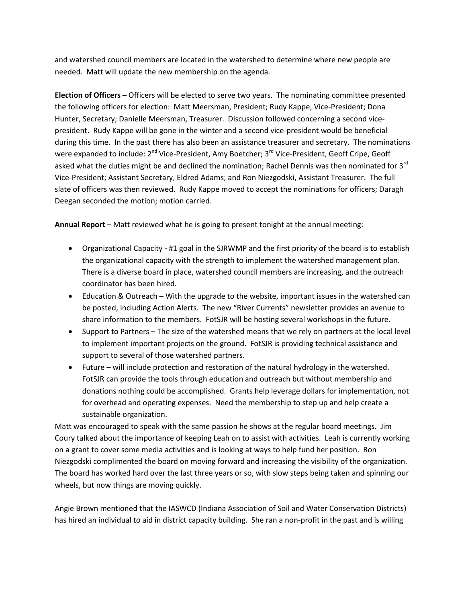and watershed council members are located in the watershed to determine where new people are needed. Matt will update the new membership on the agenda.

**Election of Officers** – Officers will be elected to serve two years. The nominating committee presented the following officers for election: Matt Meersman, President; Rudy Kappe, Vice-President; Dona Hunter, Secretary; Danielle Meersman, Treasurer. Discussion followed concerning a second vicepresident. Rudy Kappe will be gone in the winter and a second vice-president would be beneficial during this time. In the past there has also been an assistance treasurer and secretary. The nominations were expanded to include: 2<sup>nd</sup> Vice-President, Amy Boetcher; 3<sup>rd</sup> Vice-President, Geoff Cripe, Geoff asked what the duties might be and declined the nomination; Rachel Dennis was then nominated for 3<sup>rd</sup> Vice-President; Assistant Secretary, Eldred Adams; and Ron Niezgodski, Assistant Treasurer. The full slate of officers was then reviewed. Rudy Kappe moved to accept the nominations for officers; Daragh Deegan seconded the motion; motion carried.

**Annual Report** – Matt reviewed what he is going to present tonight at the annual meeting:

- Organizational Capacity #1 goal in the SJRWMP and the first priority of the board is to establish the organizational capacity with the strength to implement the watershed management plan. There is a diverse board in place, watershed council members are increasing, and the outreach coordinator has been hired.
- Education & Outreach With the upgrade to the website, important issues in the watershed can be posted, including Action Alerts. The new "River Currents" newsletter provides an avenue to share information to the members. FotSJR will be hosting several workshops in the future.
- Support to Partners The size of the watershed means that we rely on partners at the local level to implement important projects on the ground. FotSJR is providing technical assistance and support to several of those watershed partners.
- Future will include protection and restoration of the natural hydrology in the watershed. FotSJR can provide the tools through education and outreach but without membership and donations nothing could be accomplished. Grants help leverage dollars for implementation, not for overhead and operating expenses. Need the membership to step up and help create a sustainable organization.

Matt was encouraged to speak with the same passion he shows at the regular board meetings. Jim Coury talked about the importance of keeping Leah on to assist with activities. Leah is currently working on a grant to cover some media activities and is looking at ways to help fund her position. Ron Niezgodski complimented the board on moving forward and increasing the visibility of the organization. The board has worked hard over the last three years or so, with slow steps being taken and spinning our wheels, but now things are moving quickly.

Angie Brown mentioned that the IASWCD (Indiana Association of Soil and Water Conservation Districts) has hired an individual to aid in district capacity building. She ran a non-profit in the past and is willing